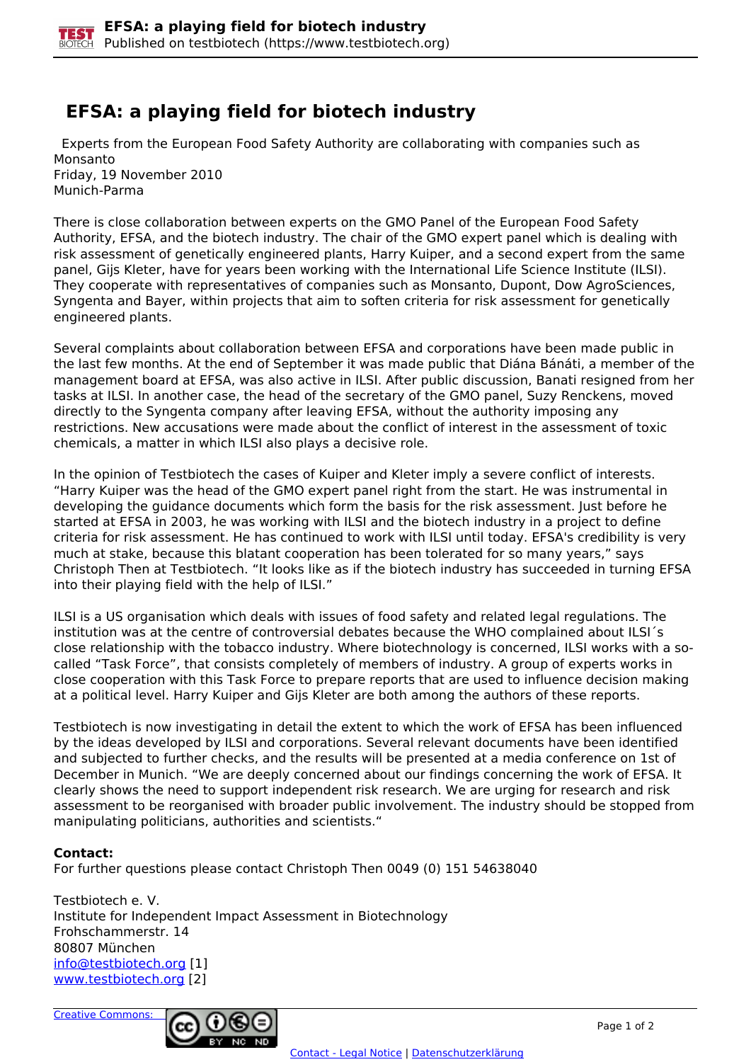## **EFSA: a playing field for biotech industry**

 Experts from the European Food Safety Authority are collaborating with companies such as Monsanto Friday, 19 November 2010 Munich-Parma

There is close collaboration between experts on the GMO Panel of the European Food Safety Authority, EFSA, and the biotech industry. The chair of the GMO expert panel which is dealing with risk assessment of genetically engineered plants, Harry Kuiper, and a second expert from the same panel, Gijs Kleter, have for years been working with the International Life Science Institute (ILSI). They cooperate with representatives of companies such as Monsanto, Dupont, Dow AgroSciences, Syngenta and Bayer, within projects that aim to soften criteria for risk assessment for genetically engineered plants.

Several complaints about collaboration between EFSA and corporations have been made public in the last few months. At the end of September it was made public that Diána Bánáti, a member of the management board at EFSA, was also active in ILSI. After public discussion, Banati resigned from her tasks at ILSI. In another case, the head of the secretary of the GMO panel, Suzy Renckens, moved directly to the Syngenta company after leaving EFSA, without the authority imposing any restrictions. New accusations were made about the conflict of interest in the assessment of toxic chemicals, a matter in which ILSI also plays a decisive role.

In the opinion of Testbiotech the cases of Kuiper and Kleter imply a severe conflict of interests. "Harry Kuiper was the head of the GMO expert panel right from the start. He was instrumental in developing the guidance documents which form the basis for the risk assessment. Just before he started at EFSA in 2003, he was working with ILSI and the biotech industry in a project to define criteria for risk assessment. He has continued to work with ILSI until today. EFSA's credibility is very much at stake, because this blatant cooperation has been tolerated for so many years," says Christoph Then at Testbiotech. "It looks like as if the biotech industry has succeeded in turning EFSA into their playing field with the help of ILSI."

ILSI is a US organisation which deals with issues of food safety and related legal regulations. The institution was at the centre of controversial debates because the WHO complained about ILSI´s close relationship with the tobacco industry. Where biotechnology is concerned, ILSI works with a socalled "Task Force", that consists completely of members of industry. A group of experts works in close cooperation with this Task Force to prepare reports that are used to influence decision making at a political level. Harry Kuiper and Gijs Kleter are both among the authors of these reports.

Testbiotech is now investigating in detail the extent to which the work of EFSA has been influenced by the ideas developed by ILSI and corporations. Several relevant documents have been identified and subjected to further checks, and the results will be presented at a media conference on 1st of December in Munich. "We are deeply concerned about our findings concerning the work of EFSA. It clearly shows the need to support independent risk research. We are urging for research and risk assessment to be reorganised with broader public involvement. The industry should be stopped from manipulating politicians, authorities and scientists."

## **Contact:**

For further questions please contact Christoph Then 0049 (0) 151 54638040

Testbiotech e. V. Institute for Independent Impact Assessment in Biotechnology Frohschammerstr. 14 80807 München [info@testbiotech.org](mailto:info@testbiotech.org) [1] www.testbiotech.org [2]